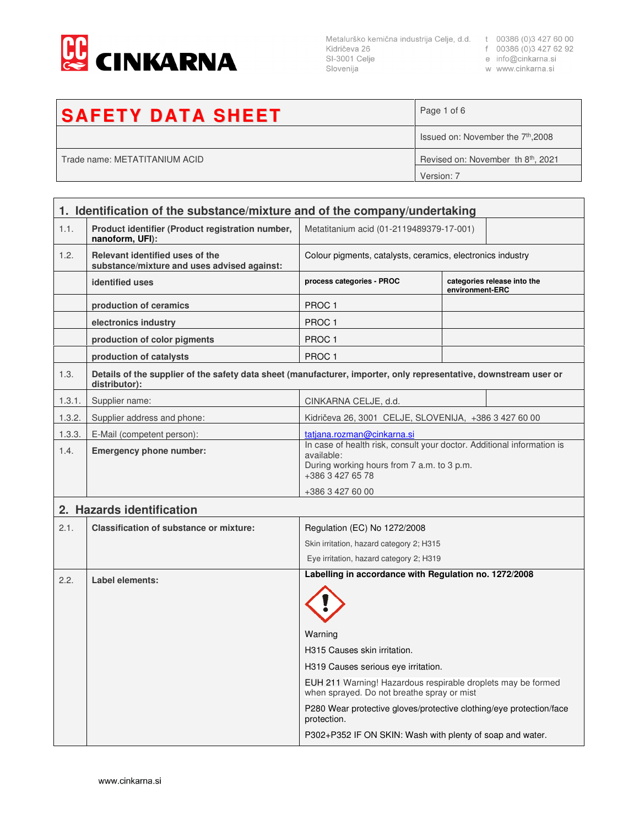

Metalurško kemična industrija Celje, d.d. t 00386 (0)3 427 60 00<br>Kidričeva 26 f 00386 (0)3 427 62 92<br>SI-3001 Celje e info@cinkarna.si Slovenija

w www.cinkarna.si

| <b>SAFETY DATA SHEET</b>      | Page 1 of 6                                    |
|-------------------------------|------------------------------------------------|
|                               | Issued on: November the 7 <sup>th</sup> , 2008 |
| Trade name: METATITANIUM ACID | Revised on: November th 8 <sup>th</sup> , 2021 |
|                               | Version: 7                                     |

|        | 1. Identification of the substance/mixture and of the company/undertaking                                                          |                                                                                                                                                        |                 |                             |
|--------|------------------------------------------------------------------------------------------------------------------------------------|--------------------------------------------------------------------------------------------------------------------------------------------------------|-----------------|-----------------------------|
| 1.1.   | Product identifier (Product registration number,<br>nanoform, UFI):                                                                | Metatitanium acid (01-2119489379-17-001)                                                                                                               |                 |                             |
| 1.2.   | Relevant identified uses of the<br>substance/mixture and uses advised against:                                                     | Colour pigments, catalysts, ceramics, electronics industry                                                                                             |                 |                             |
|        | identified uses                                                                                                                    | process categories - PROC                                                                                                                              | environment-ERC | categories release into the |
|        | production of ceramics                                                                                                             | PROC <sub>1</sub>                                                                                                                                      |                 |                             |
|        | electronics industry                                                                                                               | PROC <sub>1</sub>                                                                                                                                      |                 |                             |
|        | production of color pigments                                                                                                       | PROC <sub>1</sub>                                                                                                                                      |                 |                             |
|        | production of catalysts                                                                                                            | PROC <sub>1</sub>                                                                                                                                      |                 |                             |
| 1.3.   | Details of the supplier of the safety data sheet (manufacturer, importer, only representative, downstream user or<br>distributor): |                                                                                                                                                        |                 |                             |
| 1.3.1. | Supplier name:                                                                                                                     | CINKARNA CELJE, d.d.                                                                                                                                   |                 |                             |
| 1.3.2. | Supplier address and phone:                                                                                                        | Kidričeva 26, 3001 CELJE, SLOVENIJA, +386 3 427 60 00                                                                                                  |                 |                             |
| 1.3.3. | E-Mail (competent person):                                                                                                         | tatiana.rozman@cinkarna.si                                                                                                                             |                 |                             |
| 1.4.   | <b>Emergency phone number:</b>                                                                                                     | In case of health risk, consult your doctor. Additional information is<br>available:<br>During working hours from 7 a.m. to 3 p.m.<br>+386 3 427 65 78 |                 |                             |
|        |                                                                                                                                    | +386 3 427 60 00                                                                                                                                       |                 |                             |
|        | 2. Hazards identification                                                                                                          |                                                                                                                                                        |                 |                             |
| 2.1.   | <b>Classification of substance or mixture:</b>                                                                                     | Regulation (EC) No 1272/2008                                                                                                                           |                 |                             |
|        |                                                                                                                                    | Skin irritation, hazard category 2; H315                                                                                                               |                 |                             |
|        |                                                                                                                                    | Eye irritation, hazard category 2; H319                                                                                                                |                 |                             |
| 2.2.   | Label elements:                                                                                                                    | Labelling in accordance with Regulation no. 1272/2008                                                                                                  |                 |                             |
|        |                                                                                                                                    | Warning                                                                                                                                                |                 |                             |
|        |                                                                                                                                    | H315 Causes skin irritation.                                                                                                                           |                 |                             |
|        |                                                                                                                                    | H319 Causes serious eye irritation.                                                                                                                    |                 |                             |
|        |                                                                                                                                    | EUH 211 Warning! Hazardous respirable droplets may be formed<br>when sprayed. Do not breathe spray or mist                                             |                 |                             |
|        |                                                                                                                                    | P280 Wear protective gloves/protective clothing/eye protection/face<br>protection.                                                                     |                 |                             |
|        |                                                                                                                                    | P302+P352 IF ON SKIN: Wash with plenty of soap and water.                                                                                              |                 |                             |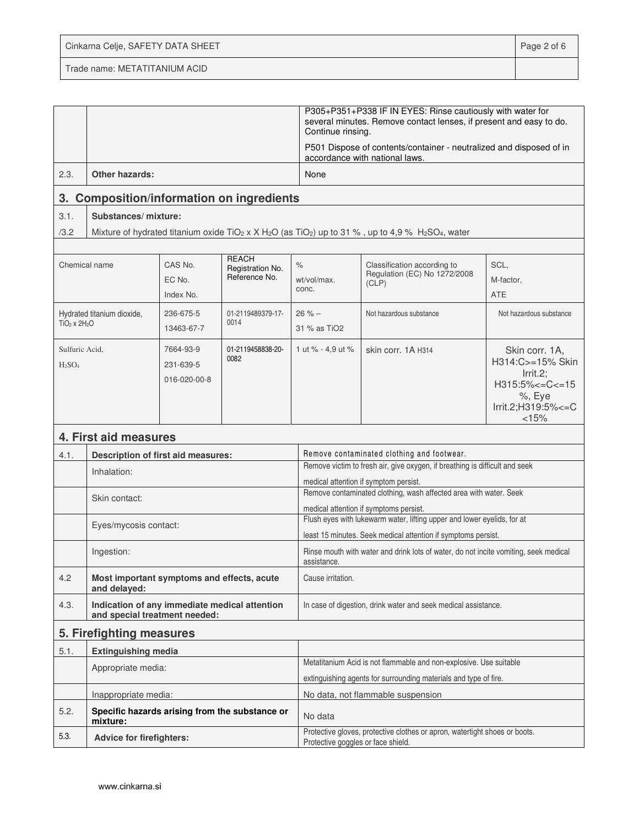| Cinkarna Celje, SAFETY DATA SHEET | Page 2 of 6 |
|-----------------------------------|-------------|
| Trade name: METATITANIUM ACID     |             |

|                             |                                                                                |                                        |                                                   | Continue rinsing.                                                                                                                        | P305+P351+P338 IF IN EYES: Rinse cautiously with water for<br>several minutes. Remove contact lenses, if present and easy to do.                               |                                                                                                                          |
|-----------------------------|--------------------------------------------------------------------------------|----------------------------------------|---------------------------------------------------|------------------------------------------------------------------------------------------------------------------------------------------|----------------------------------------------------------------------------------------------------------------------------------------------------------------|--------------------------------------------------------------------------------------------------------------------------|
|                             |                                                                                |                                        |                                                   |                                                                                                                                          | P501 Dispose of contents/container - neutralized and disposed of in<br>accordance with national laws.                                                          |                                                                                                                          |
| 2.3.                        | <b>Other hazards:</b>                                                          |                                        |                                                   | None                                                                                                                                     |                                                                                                                                                                |                                                                                                                          |
| 3.                          | <b>Composition/information on ingredients</b>                                  |                                        |                                                   |                                                                                                                                          |                                                                                                                                                                |                                                                                                                          |
| 3.1.                        | Substances/mixture:                                                            |                                        |                                                   |                                                                                                                                          |                                                                                                                                                                |                                                                                                                          |
| /3.2                        |                                                                                |                                        |                                                   |                                                                                                                                          | Mixture of hydrated titanium oxide TiO <sub>2</sub> x X H <sub>2</sub> O (as TiO <sub>2</sub> ) up to 31 %, up to 4,9 % H <sub>2</sub> SO <sub>4</sub> , water |                                                                                                                          |
| Chemical name               |                                                                                | CAS No.<br>EC No.<br>Index No.         | <b>REACH</b><br>Registration No.<br>Reference No. | $\%$<br>wt/vol/max.<br>conc.                                                                                                             | Classification according to<br>Regulation (EC) No 1272/2008<br>(CLP)                                                                                           | SCL,<br>M-factor,<br>ATE                                                                                                 |
| $TiO2 \times 2H2O$          | Hydrated titanium dioxide,                                                     | 236-675-5<br>13463-67-7                | 01-2119489379-17-<br>0014                         | $26% -$<br>31 % as TiO <sub>2</sub>                                                                                                      | Not hazardous substance                                                                                                                                        | Not hazardous substance                                                                                                  |
| Sulfuric Acid,<br>$H_2SO_4$ |                                                                                | 7664-93-9<br>231-639-5<br>016-020-00-8 | 01-2119458838-20-<br>0082                         | 1 ut % - 4,9 ut %                                                                                                                        | skin corr. 1A H314                                                                                                                                             | Skin corr. 1A,<br>H314:C>=15% Skin<br>$Irrit.2$ :<br>$H315:5\% < = C < 15$<br>$%$ , Eye<br>Irrit.2;H319:5% <= C<br>< 15% |
|                             | 4. First aid measures                                                          |                                        |                                                   |                                                                                                                                          |                                                                                                                                                                |                                                                                                                          |
| 4.1.                        | Description of first aid measures:                                             |                                        |                                                   |                                                                                                                                          | Remove contaminated clothing and footwear.                                                                                                                     |                                                                                                                          |
|                             | Inhalation:                                                                    |                                        |                                                   |                                                                                                                                          | Remove victim to fresh air, give oxygen, if breathing is difficult and seek                                                                                    |                                                                                                                          |
|                             |                                                                                |                                        |                                                   |                                                                                                                                          | medical attention if symptom persist.<br>Remove contaminated clothing, wash affected area with water. Seek                                                     |                                                                                                                          |
|                             | Skin contact:                                                                  |                                        |                                                   |                                                                                                                                          | medical attention if symptoms persist.                                                                                                                         |                                                                                                                          |
|                             | Eyes/mycosis contact:                                                          |                                        |                                                   | Flush eyes with lukewarm water, lifting upper and lower eyelids, for at<br>least 15 minutes. Seek medical attention if symptoms persist. |                                                                                                                                                                |                                                                                                                          |
|                             | Ingestion:                                                                     |                                        | assistance.                                       | Rinse mouth with water and drink lots of water, do not incite vomiting, seek medical                                                     |                                                                                                                                                                |                                                                                                                          |
| 4.2                         | Most important symptoms and effects, acute<br>and delayed:                     |                                        | Cause irritation.                                 |                                                                                                                                          |                                                                                                                                                                |                                                                                                                          |
| 4.3.                        | Indication of any immediate medical attention<br>and special treatment needed: |                                        |                                                   | In case of digestion, drink water and seek medical assistance.                                                                           |                                                                                                                                                                |                                                                                                                          |
| 5. Firefighting measures    |                                                                                |                                        |                                                   |                                                                                                                                          |                                                                                                                                                                |                                                                                                                          |
| 5.1.                        | <b>Extinguishing media</b>                                                     |                                        |                                                   |                                                                                                                                          |                                                                                                                                                                |                                                                                                                          |
|                             | Appropriate media:                                                             |                                        |                                                   |                                                                                                                                          | Metatitanium Acid is not flammable and non-explosive. Use suitable                                                                                             |                                                                                                                          |
|                             |                                                                                |                                        |                                                   | extinguishing agents for surrounding materials and type of fire.<br>No data, not flammable suspension                                    |                                                                                                                                                                |                                                                                                                          |
| 5.2.                        | Inappropriate media:                                                           |                                        | Specific hazards arising from the substance or    | No data                                                                                                                                  |                                                                                                                                                                |                                                                                                                          |
| 5.3.                        | mixture:<br><b>Advice for firefighters:</b>                                    |                                        |                                                   | Protective goggles or face shield.                                                                                                       | Protective gloves, protective clothes or apron, watertight shoes or boots.                                                                                     |                                                                                                                          |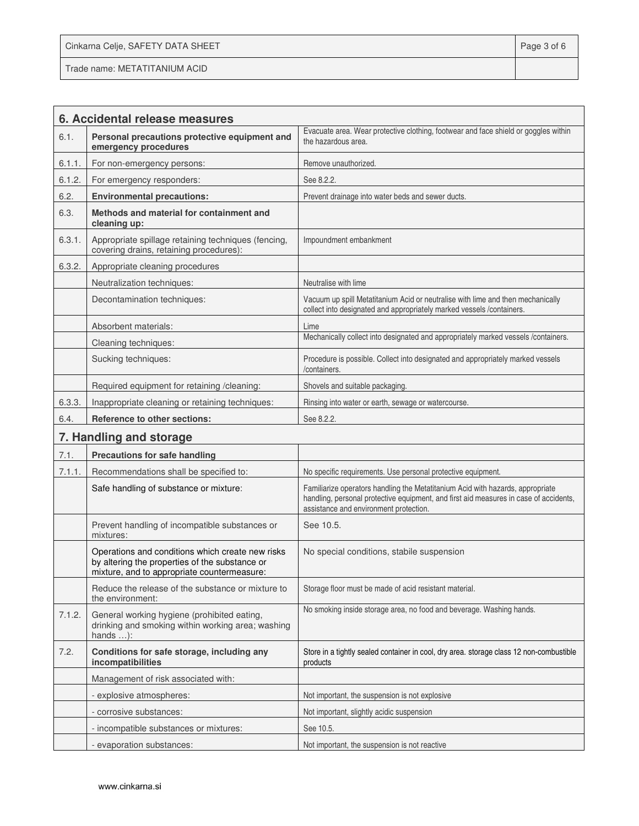Cinkarna Celje, SAFETY DATA SHEET **Page 3 of 6** and 2011 12 and 2012 12 and 2012 12 and 2012 12 and 2012 12 and 201

Trade name: METATITANIUM ACID

|        | 6. Accidental release measures                                                                                                                    |                                                                                                                                                                                                                   |
|--------|---------------------------------------------------------------------------------------------------------------------------------------------------|-------------------------------------------------------------------------------------------------------------------------------------------------------------------------------------------------------------------|
| 6.1.   | Personal precautions protective equipment and<br>emergency procedures                                                                             | Evacuate area. Wear protective clothing, footwear and face shield or goggles within<br>the hazardous area.                                                                                                        |
| 6.1.1. | For non-emergency persons:                                                                                                                        | Remove unauthorized                                                                                                                                                                                               |
| 6.1.2. | For emergency responders:                                                                                                                         | See 8.2.2.                                                                                                                                                                                                        |
| 6.2.   | <b>Environmental precautions:</b>                                                                                                                 | Prevent drainage into water beds and sewer ducts.                                                                                                                                                                 |
| 6.3.   | Methods and material for containment and<br>cleaning up:                                                                                          |                                                                                                                                                                                                                   |
| 6.3.1. | Appropriate spillage retaining techniques (fencing,<br>covering drains, retaining procedures):                                                    | Impoundment embankment                                                                                                                                                                                            |
| 6.3.2. | Appropriate cleaning procedures                                                                                                                   |                                                                                                                                                                                                                   |
|        | Neutralization techniques:                                                                                                                        | Neutralise with lime                                                                                                                                                                                              |
|        | Decontamination techniques:                                                                                                                       | Vacuum up spill Metatitanium Acid or neutralise with lime and then mechanically<br>collect into designated and appropriately marked vessels /containers.                                                          |
|        | Absorbent materials:                                                                                                                              | Lime                                                                                                                                                                                                              |
|        | Cleaning techniques:                                                                                                                              | Mechanically collect into designated and appropriately marked vessels /containers.                                                                                                                                |
|        | Sucking techniques:                                                                                                                               | Procedure is possible. Collect into designated and appropriately marked vessels<br>/containers.                                                                                                                   |
|        | Required equipment for retaining /cleaning:                                                                                                       | Shovels and suitable packaging.                                                                                                                                                                                   |
| 6.3.3. | Inappropriate cleaning or retaining techniques:                                                                                                   | Rinsing into water or earth, sewage or watercourse.                                                                                                                                                               |
| 6.4.   | Reference to other sections:                                                                                                                      | See 8.2.2.                                                                                                                                                                                                        |
|        | 7. Handling and storage                                                                                                                           |                                                                                                                                                                                                                   |
| 7.1.   | <b>Precautions for safe handling</b>                                                                                                              |                                                                                                                                                                                                                   |
| 7.1.1. | Recommendations shall be specified to:                                                                                                            | No specific requirements. Use personal protective equipment.                                                                                                                                                      |
|        | Safe handling of substance or mixture:                                                                                                            | Familiarize operators handling the Metatitanium Acid with hazards, appropriate<br>handling, personal protective equipment, and first aid measures in case of accidents,<br>assistance and environment protection. |
|        | Prevent handling of incompatible substances or<br>mixtures:                                                                                       | See 10.5.                                                                                                                                                                                                         |
|        | Operations and conditions which create new risks<br>by altering the properties of the substance or<br>mixture, and to appropriate countermeasure: | No special conditions, stabile suspension                                                                                                                                                                         |
|        | Reduce the release of the substance or mixture to<br>the environment:                                                                             | Storage floor must be made of acid resistant material.                                                                                                                                                            |
| 7.1.2. | General working hygiene (prohibited eating,<br>drinking and smoking within working area; washing<br>hands $\dots$ :                               | No smoking inside storage area, no food and beverage. Washing hands.                                                                                                                                              |
| 7.2.   | Conditions for safe storage, including any<br>incompatibilities                                                                                   | Store in a tightly sealed container in cool, dry area. storage class 12 non-combustible<br>products                                                                                                               |
|        | Management of risk associated with:                                                                                                               |                                                                                                                                                                                                                   |
|        | - explosive atmospheres:                                                                                                                          | Not important, the suspension is not explosive                                                                                                                                                                    |
|        | - corrosive substances:                                                                                                                           | Not important, slightly acidic suspension                                                                                                                                                                         |
|        | - incompatible substances or mixtures:                                                                                                            | See 10.5.                                                                                                                                                                                                         |
|        | - evaporation substances:                                                                                                                         | Not important, the suspension is not reactive                                                                                                                                                                     |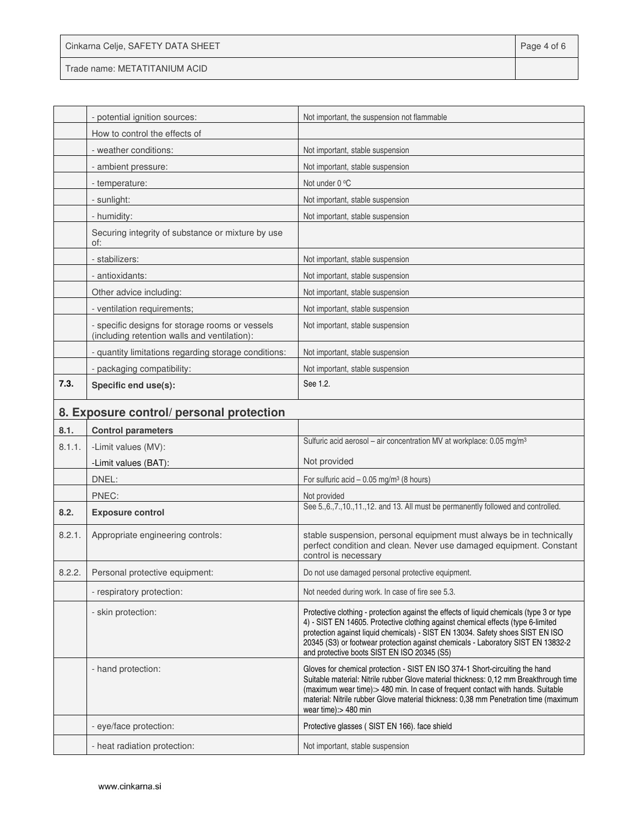| Cinkarna Celje, SAFETY DATA SHEET | Page 4 of 6 |
|-----------------------------------|-------------|
| Trade name: METATITANIUM ACID     |             |

|        | - potential ignition sources:                                                                                                                                                                                                                                                                                                      | Not important, the suspension not flammable                                       |
|--------|------------------------------------------------------------------------------------------------------------------------------------------------------------------------------------------------------------------------------------------------------------------------------------------------------------------------------------|-----------------------------------------------------------------------------------|
|        | How to control the effects of                                                                                                                                                                                                                                                                                                      |                                                                                   |
|        | - weather conditions:                                                                                                                                                                                                                                                                                                              | Not important, stable suspension                                                  |
|        | - ambient pressure:                                                                                                                                                                                                                                                                                                                | Not important, stable suspension                                                  |
|        | - temperature:                                                                                                                                                                                                                                                                                                                     | Not under 0 °C                                                                    |
|        | - sunlight:                                                                                                                                                                                                                                                                                                                        | Not important, stable suspension                                                  |
|        | - humidity:                                                                                                                                                                                                                                                                                                                        | Not important, stable suspension                                                  |
|        | Securing integrity of substance or mixture by use<br>of:                                                                                                                                                                                                                                                                           |                                                                                   |
|        | - stabilizers:                                                                                                                                                                                                                                                                                                                     | Not important, stable suspension                                                  |
|        | - antioxidants:                                                                                                                                                                                                                                                                                                                    | Not important, stable suspension                                                  |
|        | Other advice including:                                                                                                                                                                                                                                                                                                            | Not important, stable suspension                                                  |
|        | - ventilation requirements:                                                                                                                                                                                                                                                                                                        | Not important, stable suspension                                                  |
|        | - specific designs for storage rooms or vessels<br>(including retention walls and ventilation):                                                                                                                                                                                                                                    | Not important, stable suspension                                                  |
|        | - quantity limitations regarding storage conditions:                                                                                                                                                                                                                                                                               | Not important, stable suspension                                                  |
|        | - packaging compatibility:                                                                                                                                                                                                                                                                                                         | Not important, stable suspension                                                  |
| 7.3.   | Specific end use(s):                                                                                                                                                                                                                                                                                                               | See 1.2.                                                                          |
|        | 8. Exposure control/ personal protection                                                                                                                                                                                                                                                                                           |                                                                                   |
| 8.1.   | <b>Control parameters</b>                                                                                                                                                                                                                                                                                                          |                                                                                   |
| 8.1.1. | -Limit values (MV):                                                                                                                                                                                                                                                                                                                | Sulfuric acid aerosol - air concentration MV at workplace: 0.05 mg/m <sup>3</sup> |
|        | $\mathbf{r}$ $\mathbf{r}$ $\mathbf{r}$ $\mathbf{r}$ $\mathbf{r}$ $\mathbf{r}$ $\mathbf{r}$ $\mathbf{r}$ $\mathbf{r}$ $\mathbf{r}$ $\mathbf{r}$ $\mathbf{r}$ $\mathbf{r}$ $\mathbf{r}$ $\mathbf{r}$ $\mathbf{r}$ $\mathbf{r}$ $\mathbf{r}$ $\mathbf{r}$ $\mathbf{r}$ $\mathbf{r}$ $\mathbf{r}$ $\mathbf{r}$ $\mathbf{r}$ $\mathbf{$ | Not provided                                                                      |

|        | -Limit values (BAT):              | Not provided                                                                                                                                                                                                                                                                                                                                                                                      |
|--------|-----------------------------------|---------------------------------------------------------------------------------------------------------------------------------------------------------------------------------------------------------------------------------------------------------------------------------------------------------------------------------------------------------------------------------------------------|
|        | DNEL:                             | For sulfuric acid $-0.05$ mg/m <sup>3</sup> (8 hours)                                                                                                                                                                                                                                                                                                                                             |
|        | PNEC:                             | Not provided                                                                                                                                                                                                                                                                                                                                                                                      |
| 8.2.   | <b>Exposure control</b>           | See 5., 6., 7., 10., 11., 12. and 13. All must be permanently followed and controlled.                                                                                                                                                                                                                                                                                                            |
| 8.2.1. | Appropriate engineering controls: | stable suspension, personal equipment must always be in technically<br>perfect condition and clean. Never use damaged equipment. Constant<br>control is necessary                                                                                                                                                                                                                                 |
| 8.2.2. | Personal protective equipment:    | Do not use damaged personal protective equipment.                                                                                                                                                                                                                                                                                                                                                 |
|        | - respiratory protection:         | Not needed during work. In case of fire see 5.3.                                                                                                                                                                                                                                                                                                                                                  |
|        | - skin protection:                | Protective clothing - protection against the effects of liquid chemicals (type 3 or type<br>4) - SIST EN 14605. Protective clothing against chemical effects (type 6-limited<br>protection against liquid chemicals) - SIST EN 13034. Safety shoes SIST EN ISO<br>20345 (S3) or footwear protection against chemicals - Laboratory SIST EN 13832-2<br>and protective boots SIST EN ISO 20345 (S5) |
|        | - hand protection:                | Gloves for chemical protection - SIST EN ISO 374-1 Short-circuiting the hand<br>Suitable material: Nitrile rubber Glove material thickness: 0,12 mm Breakthrough time<br>(maximum wear time):> 480 min. In case of frequent contact with hands. Suitable<br>material: Nitrile rubber Glove material thickness: 0,38 mm Penetration time (maximum<br>wear time): > 480 min                         |
|        | - eye/face protection:            | Protective glasses (SIST EN 166). face shield                                                                                                                                                                                                                                                                                                                                                     |
|        | - heat radiation protection:      | Not important, stable suspension                                                                                                                                                                                                                                                                                                                                                                  |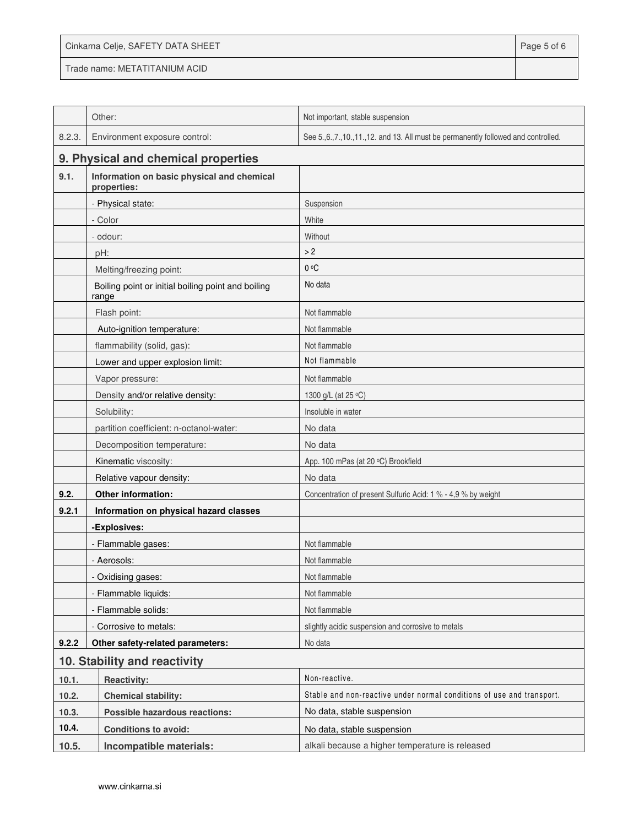| Cinkarna Celje, SAFETY DATA SHEET | Page 5 of 6 |
|-----------------------------------|-------------|
| Trade name: METATITANIUM ACID     |             |

|        | Other:                                                      | Not important, stable suspension                                                       |
|--------|-------------------------------------------------------------|----------------------------------------------------------------------------------------|
| 8.2.3. | Environment exposure control:                               | See 5., 6., 7., 10., 11., 12. and 13. All must be permanently followed and controlled. |
|        | 9. Physical and chemical properties                         |                                                                                        |
| 9.1.   | Information on basic physical and chemical<br>properties:   |                                                                                        |
|        | - Physical state:                                           | Suspension                                                                             |
|        | - Color                                                     | White                                                                                  |
|        | - odour:                                                    | Without                                                                                |
|        | pH:                                                         | >2                                                                                     |
|        | Melting/freezing point:                                     | $0^{\circ}C$                                                                           |
|        | Boiling point or initial boiling point and boiling<br>range | No data                                                                                |
|        | Flash point:                                                | Not flammable                                                                          |
|        | Auto-ignition temperature:                                  | Not flammable                                                                          |
|        | flammability (solid, gas):                                  | Not flammable                                                                          |
|        | Lower and upper explosion limit:                            | Not flammable                                                                          |
|        | Vapor pressure:                                             | Not flammable                                                                          |
|        | Density and/or relative density:                            | 1300 g/L (at 25 °C)                                                                    |
|        | Solubility:                                                 | Insoluble in water                                                                     |
|        | partition coefficient: n-octanol-water:                     | No data                                                                                |
|        | Decomposition temperature:                                  | No data                                                                                |
|        | Kinematic viscosity:                                        | App. 100 mPas (at 20 °C) Brookfield                                                    |
|        | Relative vapour density:                                    | No data                                                                                |
| 9.2.   | Other information:                                          | Concentration of present Sulfuric Acid: 1 % - 4,9 % by weight                          |
| 9.2.1  | Information on physical hazard classes                      |                                                                                        |
|        | -Explosives:                                                |                                                                                        |
|        | - Flammable gases:                                          | Not flammable                                                                          |
|        | - Aerosols:                                                 | Not flammable                                                                          |
|        | - Oxidising gases:                                          | Not flammable                                                                          |
|        | - Flammable liquids:                                        | Not flammable                                                                          |
|        | - Flammable solids:                                         | Not flammable                                                                          |
|        | - Corrosive to metals:                                      | slightly acidic suspension and corrosive to metals                                     |
| 9.2.2  | Other safety-related parameters:                            | No data                                                                                |
|        | 10. Stability and reactivity                                |                                                                                        |
| 10.1.  | <b>Reactivity:</b>                                          | Non-reactive.                                                                          |
| 10.2.  | <b>Chemical stability:</b>                                  | Stable and non-reactive under normal conditions of use and transport.                  |
| 10.3.  | Possible hazardous reactions:                               | No data, stable suspension                                                             |
| 10.4.  | <b>Conditions to avoid:</b>                                 | No data, stable suspension                                                             |
| 10.5.  | Incompatible materials:                                     | alkali because a higher temperature is released                                        |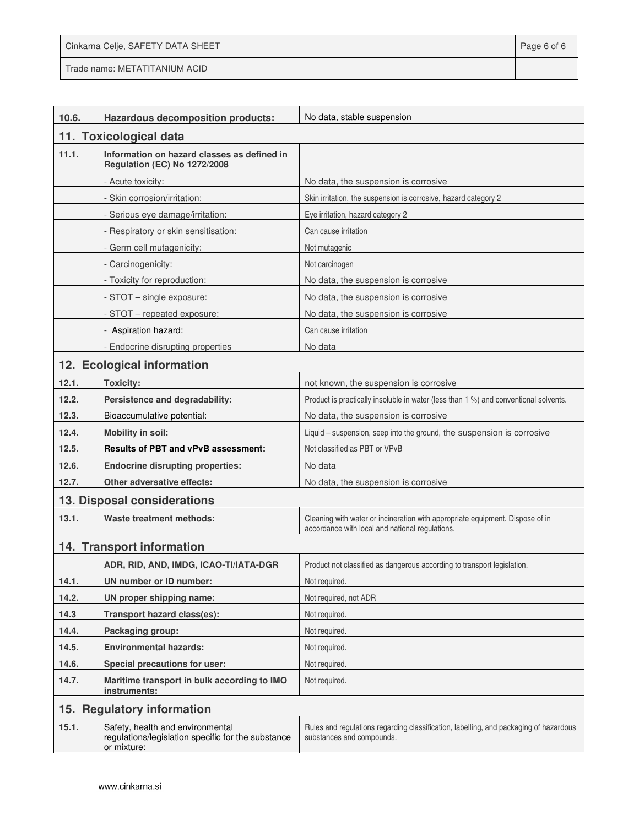| Cinkarna Celje, SAFETY DATA SHEET | Page 6 of 6 |
|-----------------------------------|-------------|
|-----------------------------------|-------------|

Trade name: METATITANIUM ACID

Ī

| 10.6.                       | Hazardous decomposition products:                                                                     | No data, stable suspension                                                                                                       |
|-----------------------------|-------------------------------------------------------------------------------------------------------|----------------------------------------------------------------------------------------------------------------------------------|
|                             | 11. Toxicological data                                                                                |                                                                                                                                  |
| 11.1.                       | Information on hazard classes as defined in<br>Regulation (EC) No 1272/2008                           |                                                                                                                                  |
|                             | - Acute toxicity:                                                                                     | No data, the suspension is corrosive                                                                                             |
|                             | - Skin corrosion/irritation:                                                                          | Skin irritation, the suspension is corrosive, hazard category 2                                                                  |
|                             | - Serious eye damage/irritation:                                                                      | Eye irritation, hazard category 2                                                                                                |
|                             | - Respiratory or skin sensitisation:                                                                  | Can cause irritation                                                                                                             |
|                             | - Germ cell mutagenicity:                                                                             | Not mutagenic                                                                                                                    |
|                             | - Carcinogenicity:                                                                                    | Not carcinogen                                                                                                                   |
|                             | - Toxicity for reproduction:                                                                          | No data, the suspension is corrosive                                                                                             |
|                             | - STOT - single exposure:                                                                             | No data, the suspension is corrosive                                                                                             |
|                             | - STOT - repeated exposure:                                                                           | No data, the suspension is corrosive                                                                                             |
|                             | - Aspiration hazard:                                                                                  | Can cause irritation                                                                                                             |
|                             | - Endocrine disrupting properties                                                                     | No data                                                                                                                          |
|                             | 12. Ecological information                                                                            |                                                                                                                                  |
| 12.1.                       | <b>Toxicity:</b>                                                                                      | not known, the suspension is corrosive                                                                                           |
| 12.2.                       | Persistence and degradability:                                                                        | Product is practically insoluble in water (less than 1 %) and conventional solvents.                                             |
| 12.3.                       | Bioaccumulative potential:                                                                            | No data, the suspension is corrosive                                                                                             |
| 12.4.                       | Mobility in soil:                                                                                     | Liquid - suspension, seep into the ground, the suspension is corrosive                                                           |
| 12.5.                       | <b>Results of PBT and vPvB assessment:</b>                                                            | Not classified as PBT or VPvB                                                                                                    |
| 12.6.                       | <b>Endocrine disrupting properties:</b>                                                               | No data                                                                                                                          |
| 12.7.                       | Other adversative effects:                                                                            | No data, the suspension is corrosive                                                                                             |
| 13. Disposal considerations |                                                                                                       |                                                                                                                                  |
| 13.1.                       | <b>Waste treatment methods:</b>                                                                       | Cleaning with water or incineration with appropriate equipment. Dispose of in<br>accordance with local and national regulations. |
|                             | 14. Transport information                                                                             |                                                                                                                                  |
|                             | ADR, RID, AND, IMDG, ICAO-TI/IATA-DGR                                                                 | Product not classified as dangerous according to transport legislation.                                                          |
| 14.1.                       | UN number or ID number:                                                                               | Not required.                                                                                                                    |
| 14.2.                       | UN proper shipping name:                                                                              | Not required, not ADR                                                                                                            |
| 14.3                        | Transport hazard class(es):                                                                           | Not required.                                                                                                                    |
| 14.4.                       | Packaging group:                                                                                      | Not required.                                                                                                                    |
| 14.5.                       | <b>Environmental hazards:</b>                                                                         | Not required.                                                                                                                    |
| 14.6.                       | Special precautions for user:                                                                         | Not required.                                                                                                                    |
| 14.7.                       | Maritime transport in bulk according to IMO<br>instruments:                                           | Not required.                                                                                                                    |
| 15. Regulatory information  |                                                                                                       |                                                                                                                                  |
| 15.1.                       | Safety, health and environmental<br>regulations/legislation specific for the substance<br>or mixture: | Rules and regulations regarding classification, labelling, and packaging of hazardous<br>substances and compounds.               |